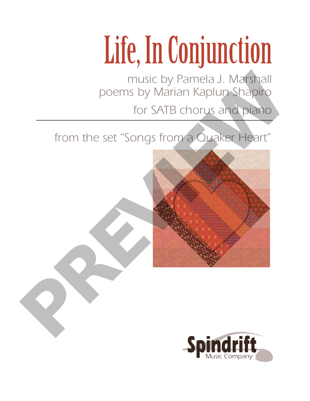# Life, In Conjunction

music by Pamela J. Marshall for SATB chorus and piano poems by Marian Kaplun Shapiro

from the set "Songs from a Quaker Heart"



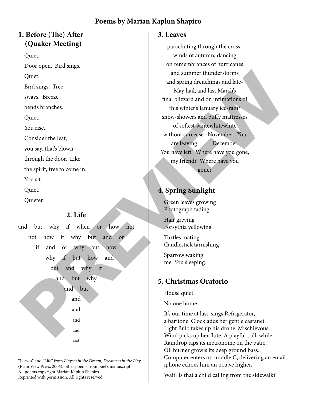# **Poems by Marian Kaplun Shapiro**

# **1. Before (The) After (Quaker Meeting)**

Quiet. Door open. Bird sings. Quiet. Bird sings. Tree sways. Breeze bends branches. Quiet. You rise. Consider the leaf, you say, that's blown through the door. Like the spirit, free to come in. You sit. Quiet. Quieter.

## **2. Life**

and but why if when or how not not how if why but and or if and or why but how why if but how and but and why if and but why and but and and and and and From the state of the state of the state of the state of the state of the state of the state of the state of the state of the state of the state of the state of the state of the state of the state of the state of the state

"Leaves" and "Life" from *Players in the Dream, Dreamers in the Play* (Plain View Press, 2006), other poems from poet's manuscript. All poems copyright Marian Kaplun Shapiro. Reprinted with permission. All rights reserved.

## **3. Leaves**

parachuting through the crosswinds of autumn, dancing on remembrances of hurricanes and summer thunderstorms and spring drenchings and late-May hail, and last March's final blizzard and on intimations of this winter's January ice-rain/ snow-showers and puffy mattresses of softest whitewhitewhite without surcease. November. You are leaving. December. You have left. Where have you gone, my friend? Where have you gone?

# **4. Spring Sunlight**

Green leaves growing Photograph fading

Hair greying Forsythia yellowing

Turtles mating Candlestick tarnishing

Sparrow waking me. You sleeping.

## **5. Christmas Oratorio**

House quiet

No one home

It's our time at last, sings Refrigerator, a baritone. Clock adds her gentle castanet. Light Bulb takes up his drone. Mischievous Wind picks up her flute. A playful trill, while Raindrop taps its metronome on the patio. Oil burner growls its deep ground bass. Computer enters on middle C, delivering an email. iphone echoes him an octave higher.

Wait! Is that a child calling from the sidewalk?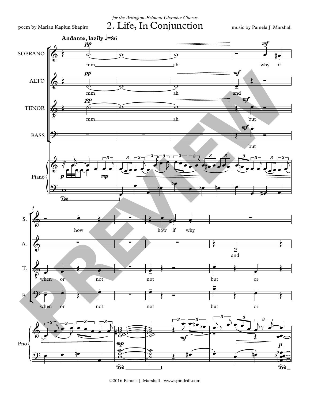for the Arlington-Belmont Chamber Chorus<br>2. Life, In Conjunction

poem by Marian Kaplun Shapiro

music by Pamela J. Marshall



©2016 Pamela J. Marshall - www.spindrift.com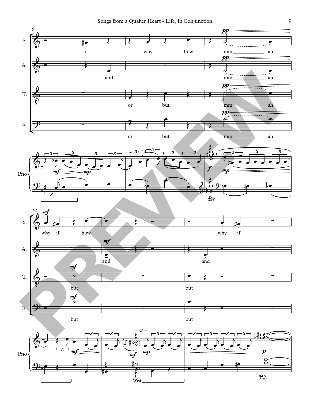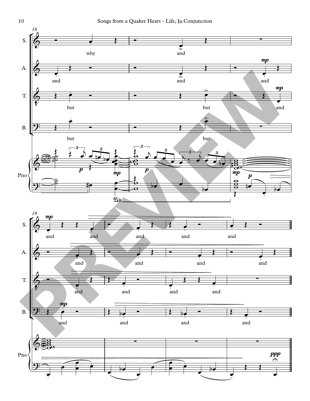